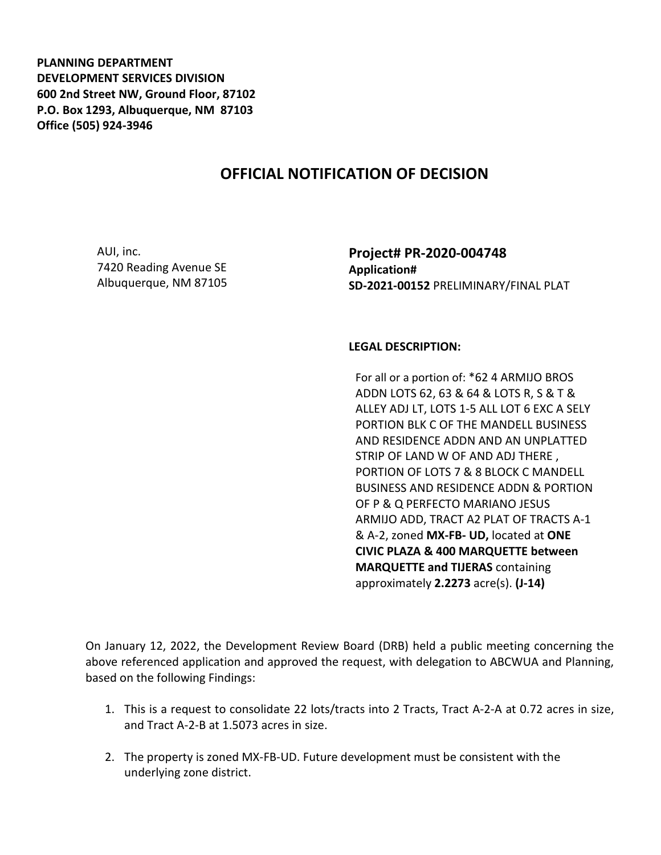**PLANNING DEPARTMENT DEVELOPMENT SERVICES DIVISION 600 2nd Street NW, Ground Floor, 87102 P.O. Box 1293, Albuquerque, NM 87103 Office (505) 924-3946** 

## **OFFICIAL NOTIFICATION OF DECISION**

AUI, inc. 7420 Reading Avenue SE Albuquerque, NM 87105 **Project# PR-2020-004748 Application# SD-2021-00152** PRELIMINARY/FINAL PLAT

## **LEGAL DESCRIPTION:**

For all or a portion of: \*62 4 ARMIJO BROS ADDN LOTS 62, 63 & 64 & LOTS R, S & T & ALLEY ADJ LT, LOTS 1-5 ALL LOT 6 EXC A SELY PORTION BLK C OF THE MANDELL BUSINESS AND RESIDENCE ADDN AND AN UNPLATTED STRIP OF LAND W OF AND ADJ THERE , PORTION OF LOTS 7 & 8 BLOCK C MANDELL BUSINESS AND RESIDENCE ADDN & PORTION OF P & Q PERFECTO MARIANO JESUS ARMIJO ADD, TRACT A2 PLAT OF TRACTS A-1 & A-2, zoned **MX-FB- UD,** located at **ONE CIVIC PLAZA & 400 MARQUETTE between MARQUETTE and TIJERAS** containing approximately **2.2273** acre(s). **(J-14)**

On January 12, 2022, the Development Review Board (DRB) held a public meeting concerning the above referenced application and approved the request, with delegation to ABCWUA and Planning, based on the following Findings:

- 1. This is a request to consolidate 22 lots/tracts into 2 Tracts, Tract A-2-A at 0.72 acres in size, and Tract A-2-B at 1.5073 acres in size.
- 2. The property is zoned MX-FB-UD. Future development must be consistent with the underlying zone district.